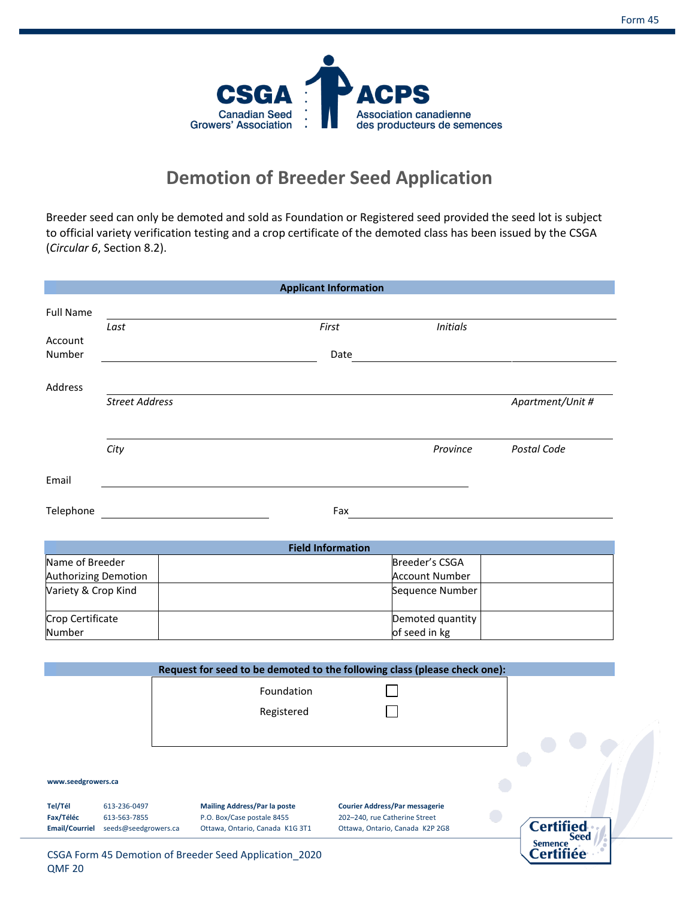Certifiée



## **Demotion of Breeder Seed Application**

Breeder seed can only be demoted and sold as Foundation or Registered seed provided the seed lot is subject to official variety verification testing and a crop certificate of the demoted class has been issued by the CSGA (*Circular 6*, Section 8.2).

|                       |                       |                                                                           | <b>Applicant Information</b>  |                                       |                  |
|-----------------------|-----------------------|---------------------------------------------------------------------------|-------------------------------|---------------------------------------|------------------|
| <b>Full Name</b>      |                       |                                                                           |                               |                                       |                  |
|                       | Last                  |                                                                           | First                         | <b>Initials</b>                       |                  |
| Account<br>Number     |                       |                                                                           | Date                          |                                       |                  |
|                       |                       |                                                                           |                               |                                       |                  |
| Address               |                       |                                                                           |                               |                                       |                  |
|                       | <b>Street Address</b> |                                                                           |                               |                                       | Apartment/Unit # |
|                       |                       |                                                                           |                               |                                       |                  |
|                       | City                  |                                                                           |                               | Province                              | Postal Code      |
|                       |                       |                                                                           |                               |                                       |                  |
| Email                 |                       |                                                                           |                               |                                       |                  |
|                       |                       |                                                                           |                               |                                       |                  |
| Telephone             |                       |                                                                           | Fax                           |                                       |                  |
|                       |                       |                                                                           |                               |                                       |                  |
|                       |                       |                                                                           | <b>Field Information</b>      |                                       |                  |
| Name of Breeder       |                       |                                                                           |                               | Breeder's CSGA                        |                  |
| Authorizing Demotion  |                       |                                                                           |                               | <b>Account Number</b>                 |                  |
| Variety & Crop Kind   |                       |                                                                           |                               | Sequence Number                       |                  |
| Crop Certificate      |                       |                                                                           |                               | Demoted quantity                      |                  |
| Number                |                       |                                                                           |                               | of seed in kg                         |                  |
|                       |                       |                                                                           |                               |                                       |                  |
|                       |                       | Request for seed to be demoted to the following class (please check one): |                               |                                       |                  |
|                       |                       | Foundation                                                                |                               |                                       |                  |
|                       |                       | Registered                                                                |                               |                                       |                  |
|                       |                       |                                                                           |                               |                                       |                  |
|                       |                       |                                                                           |                               |                                       |                  |
|                       |                       |                                                                           |                               |                                       |                  |
| www.seedgrowers.ca    |                       |                                                                           |                               |                                       |                  |
| Tel/Tél               | 613-236-0497          | <b>Mailing Address/Par la poste</b>                                       |                               | <b>Courier Address/Par messagerie</b> |                  |
| Fax/Téléc             | 613-563-7855          | P.O. Box/Case postale 8455                                                | 202-240, rue Catherine Street |                                       | <b>Certified</b> |
| <b>Email/Courriel</b> | seeds@seedgrowers.ca  | Ottawa, Ontario, Canada K1G 3T1                                           |                               | Ottawa, Ontario, Canada K2P 2G8       | <b>Seed</b>      |
|                       |                       |                                                                           |                               |                                       | <b>Semence</b>   |

CSGA Form 45 Demotion of Breeder Seed Application\_2020 QMF 20